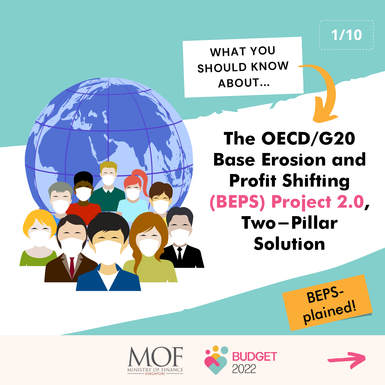

**WHAT YOU SHOULD KNOW ABOUT...**

## **The OECD/G20 Base Erosion and Profit Shifting (BEPS) Project 2.0, Two-Pillar Solution**







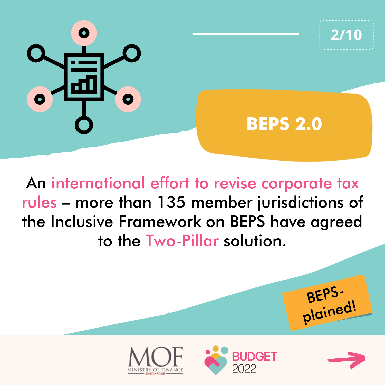

An international effort to revise corporate tax rules – more than 135 member jurisdictions of the Inclusive Framework on BEPS have agreed to the Two-Pillar solution.







BEPS-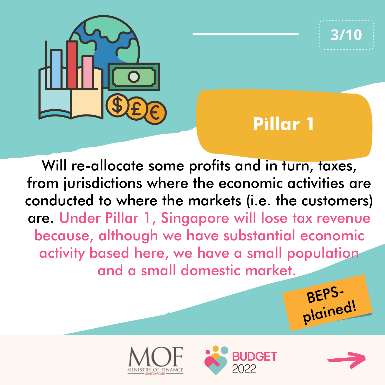



Will re-allocate some profits and in turn, taxes, from jurisdictions where the economic activities are conducted to where the markets (i.e. the customers) are. Under Pillar 1, Singapore will lose tax revenue because, although we have substantial economic activity based here, we have a small population and a small domestic market.







**3/10**

BEPS-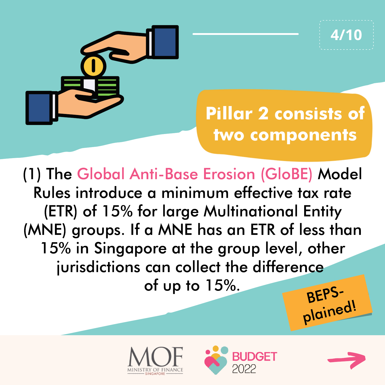

BEPS-(1) The Global Anti-Base Erosion (GloBE) Model Rules introduce a minimum effective tax rate (ETR) of 15% for large Multinational Entity (MNE) groups. If a MNE has an ETR of less than 15% in Singapore at the group level, other jurisdictions can collect the difference of up to  $15\%$ .





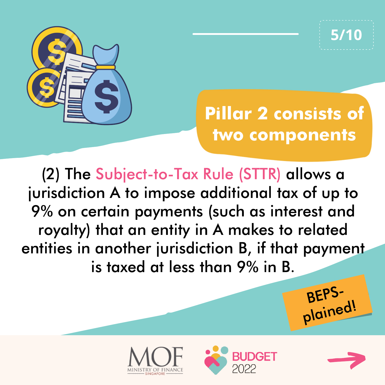

**5/10**

## **Pillar 2 consists of two components**

(2) The Subject-to-Tax Rule (STTR) allows a jurisdiction A to impose additional tax of up to 9% on certain payments (such as interest and royalty) that an entity in A makes to related entities in another jurisdiction B, if that payment is taxed at less than 9% in B.







BEPS-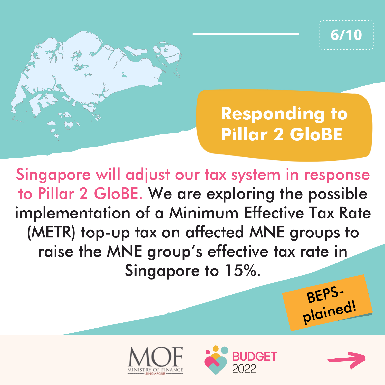

Singapore will adjust our tax system in response to Pillar 2 GloBE. We are exploring the possible implementation of a Minimum Effective Tax Rate (METR) top-up tax on affected MNE groups to raise the MNE group's effective tax rate in Singapore to 15%.







BEPS-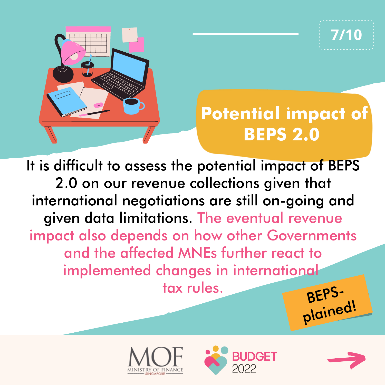

## **Potential impact of BEPS 2.0**

BEPS-It is difficult to assess the potential impact of BEPS 2.0 on our revenue collections given that international negotiations are still on-going and given data limitations. The eventual revenue impact also depends on how other Governments and the affected MNEs further react to implemented changes in international tax rules.







**7/10**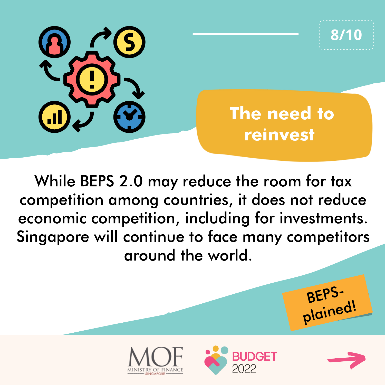

While BEPS 2.0 may reduce the room for tax competition among countries, it does not reduce economic competition, including for investments. Singapore will continue to face many competitors around the world.







BEPS-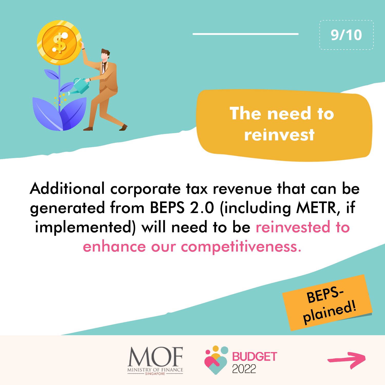

Additional corporate tax revenue that can be generated from BEPS 2.0 (including METR, if implemented) will need to be reinvested to enhance our competitiveness.